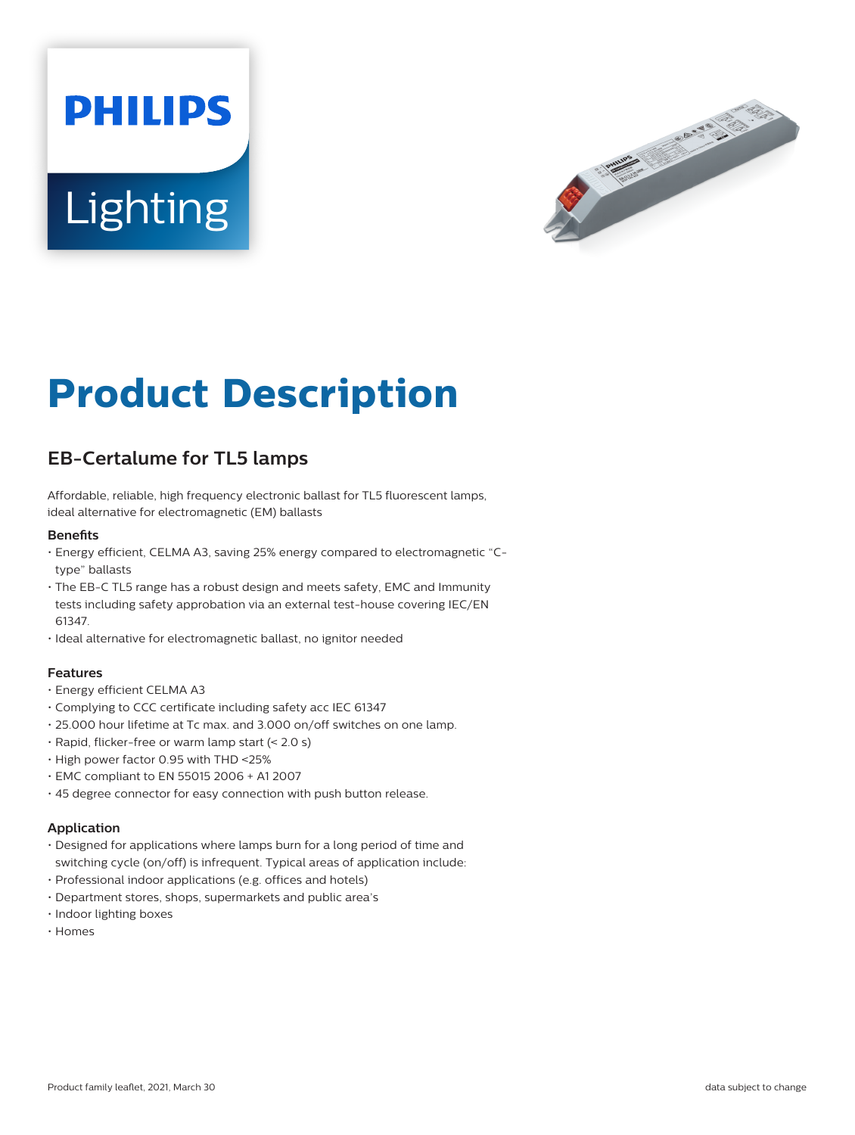# **PHILIPS Lighting**



# **Product Description**

## **EB-Certalume for TL5 lamps**

Affordable, reliable, high frequency electronic ballast for TL5 fluorescent lamps, ideal alternative for electromagnetic (EM) ballasts

#### **Benefits**

- Energy efficient, CELMA A3, saving 25% energy compared to electromagnetic "Ctype" ballasts
- The EB-C TL5 range has a robust design and meets safety, EMC and Immunity tests including safety approbation via an external test-house covering IEC/EN 61347.
- Ideal alternative for electromagnetic ballast, no ignitor needed

#### **Features**

- Energy efficient CELMA A3
- Complying to CCC certificate including safety acc IEC 61347
- 25.000 hour lifetime at Tc max. and 3.000 on/off switches on one lamp.
- Rapid, flicker-free or warm lamp start (< 2.0 s)
- High power factor 0.95 with THD <25%
- EMC compliant to EN 55015 2006 + A1 2007
- 45 degree connector for easy connection with push button release.

#### **Application**

- Designed for applications where lamps burn for a long period of time and switching cycle (on/off) is infrequent. Typical areas of application include:
- Professional indoor applications (e.g. offices and hotels)
- Department stores, shops, supermarkets and public area's
- Indoor lighting boxes
- Homes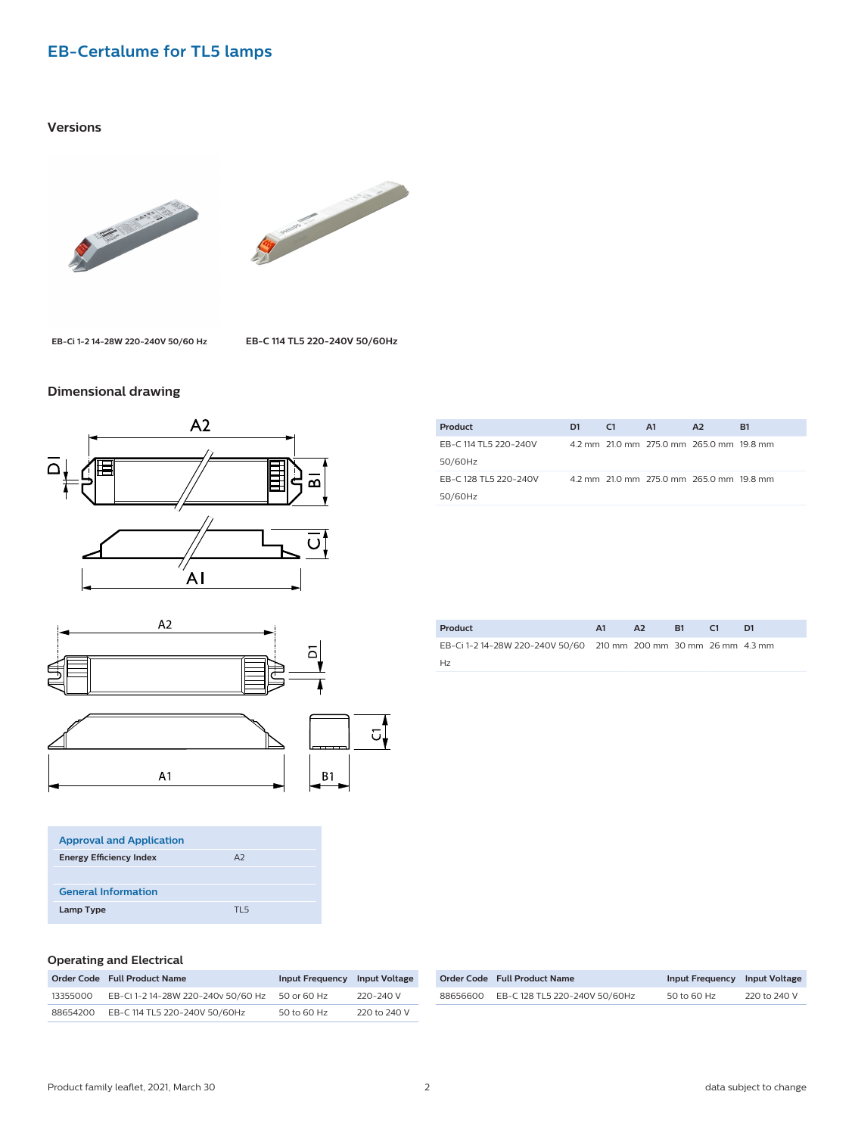### **EB-Certalume for TL5 lamps**

#### **Versions**





**EB-Ci 1-2 14-28W 220-240V 50/60 Hz EB-C 114 TL5 220-240V 50/60Hz**

#### **Dimensional drawing**



| <b>Approval and Application</b> |      |  |
|---------------------------------|------|--|
| <b>Energy Efficiency Index</b>  | A2   |  |
|                                 |      |  |
| <b>General Information</b>      |      |  |
| Lamp Type                       | דו ק |  |

| Product               | D <sub>1</sub> | C1 | A1 | A2                                       | R1 |
|-----------------------|----------------|----|----|------------------------------------------|----|
| EB-C 114 TL5 220-240V |                |    |    | 4.2 mm 21.0 mm 275.0 mm 265.0 mm 19.8 mm |    |
| 50/60Hz               |                |    |    |                                          |    |
| EB-C 128 TL5 220-240V |                |    |    | 4.2 mm 21.0 mm 275.0 mm 265.0 mm 19.8 mm |    |
| 50/60Hz               |                |    |    |                                          |    |
|                       |                |    |    |                                          |    |

| Product                                                          | A1 | AA <sup>2</sup> | <b>B1</b> | - 61 |  |
|------------------------------------------------------------------|----|-----------------|-----------|------|--|
| EB-Ci 1-2 14-28W 220-240V 50/60 210 mm 200 mm 30 mm 26 mm 4.3 mm |    |                 |           |      |  |
| Hz                                                               |    |                 |           |      |  |

#### **Operating and Electrical**

|          | Order Code Full Product Name       | Input Frequency Input Voltage |              |
|----------|------------------------------------|-------------------------------|--------------|
| 13355000 | EB-Ci 1-2 14-28W 220-240v 50/60 Hz | 50 or 60 Hz                   | 220-240 V    |
| 88654200 | EB-C 114 TL5 220-240V 50/60Hz      | 50 to 60 Hz                   | 220 to 240 V |

|          | Order Code Full Product Name  | Input Frequency Input Voltage |              |
|----------|-------------------------------|-------------------------------|--------------|
| 88656600 | EB-C 128 TL5 220-240V 50/60Hz | 50 to 60 Hz                   | 220 to 240 V |